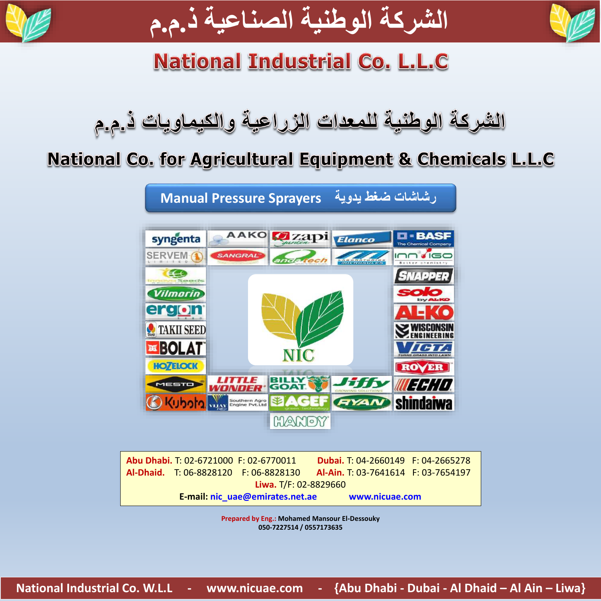



# **National Industrial Co. L.L.C**

# الشركة الوطنية للمعدات الزراعية والكيماويات ذ.م.م

## National Co. for Agricultural Equipment & Chemicals L.L.C



|                       |                                 | Abu Dhabi. T: 02-6721000 F: 02-6770011 | <b>Dubai.</b> T: 04-2660149 F: 04-2665278 |                |  |
|-----------------------|---------------------------------|----------------------------------------|-------------------------------------------|----------------|--|
|                       |                                 | Al-Dhaid. T: 06-8828120 F: 06-8828130  | Al-Ain. T: 03-7641614 F: 03-7654197       |                |  |
| Liwa. T/F: 02-8829660 |                                 |                                        |                                           |                |  |
|                       | E-mail: nic uae@emirates.net.ae |                                        |                                           | www.nicuae.com |  |

**Prepared by Eng.: Mohamed Mansour El-Dessouky 050-7227514 / 0557173635**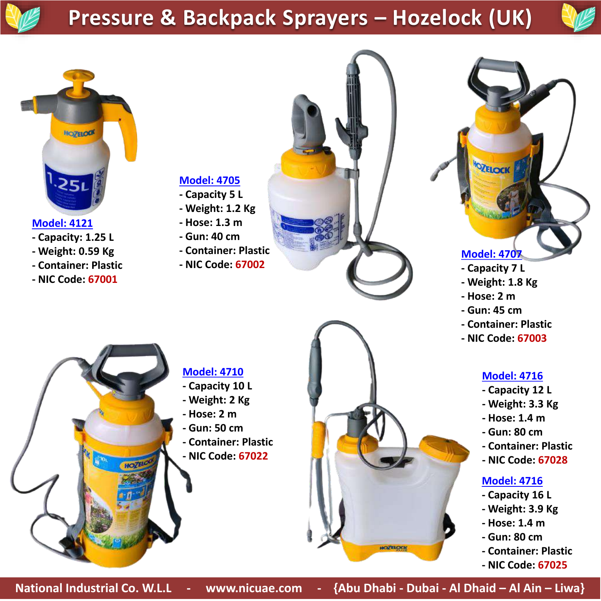## **Pressure & Backpack Sprayers – Hozelock (UK)**





### **Model: 4121**

- **- Capacity: 1.25 L**
- **- Weight: 0.59 Kg**
- **- Container: Plastic**
- **- NIC Code: 67001**
- **Model: 4705**
- **- Capacity 5 L**
- **- Weight: 1.2 Kg**
- **- Hose: 1.3 m**
- **- Gun: 40 cm**
- **- Container: Plastic**
- **- NIC Code: 67002**



## **Model: 4707**

- **- Capacity 7 L**
- **- Weight: 1.8 Kg**
- **- Hose: 2 m**
- **- Gun: 45 cm**
- **- Container: Plastic**
- **- NIC Code: 67003**

## **Model: 4716**

- **- Capacity 12 L**
- **- Weight: 3.3 Kg**
- **- Hose: 1.4 m**
- **- Gun: 80 cm**
- **- Container: Plastic**
- **- NIC Code: 67028**

### **Model: 4716**

- **- Capacity 16 L**
- **- Weight: 3.9 Kg**
- **- Hose: 1.4 m**
- **- Gun: 80 cm**
- **- Container: Plastic**
- **- NIC Code: 67025**

**Model: 4710**

- **- Capacity 10 L**
- **- Weight: 2 Kg**
- **- Hose: 2 m**
- **- Gun: 50 cm**
- **- Container: Plastic**
- **- NIC Code: 67022**

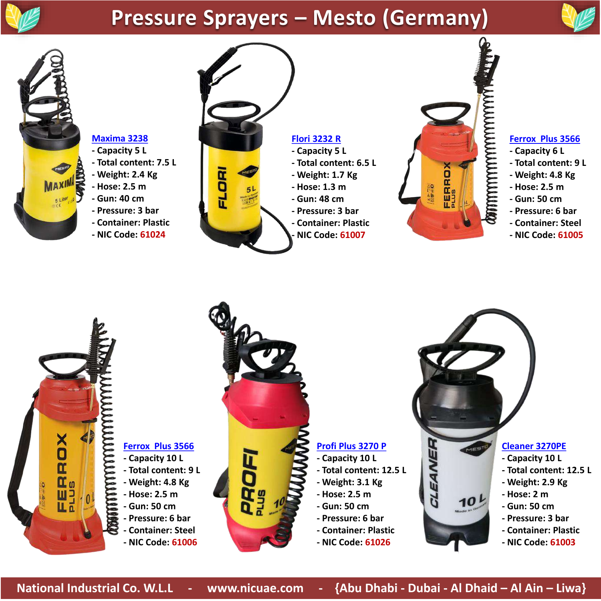# **Pressure Sprayers – Mesto (Germany)**





### **Maxima 3238**

- **- Capacity 5 L**
- **- Total content: 7.5 L**
- **- Weight: 2.4 Kg**
- **- Hose: 2.5 m**
- **- Gun: 40 cm**
- **- Pressure: 3 bar**
- **- Container: Plastic**
- **- NIC Code: 61024**



#### **Flori 3232 R**

- **- Capacity 5 L**
- **- Total content: 6.5 L**
- **- Weight: 1.7 Kg**
- **- Hose: 1.3 m**
- **- Gun: 48 cm**
- **- Pressure: 3 bar**
- **- Container: Plastic**
- **- NIC Code: 61007**



#### **Ferrox Plus 3566**

- **- Capacity 6 L**
- **- Total content: 9 L**
- **- Weight: 4.8 Kg**
- **- Hose: 2.5 m**
- **- Gun: 50 cm**
- **- Pressure: 6 bar**
- **- Container: Steel**
- **- NIC Code: 61005**



## **Ferrox Plus 3566**

- 
- 
- **- Hose: 2.5 m**
- 
- **- Pressure: 6 bar**
- **- Container: Steel**
- **- NIC Code: 61006**



### **Profi Plus 3270 P**

- **- Capacity 10 L**
- **- Total content: 12.5 L**
- **- Weight: 3.1 Kg**
- **- Hose: 2.5 m**
- **- Gun: 50 cm**
- **- Pressure: 6 bar**
- **- Container: Plastic**
- **- NIC Code: 61026**

#### **Cleaner 3270PE**

- **- Capacity 10 L**
- **- Total content: 12.5 L**
- **- Weight: 2.9 Kg**
- **- Hose: 2 m**
- **- Gun: 50 cm**
- **- Pressure: 3 bar**
- **- Container: Plastic**
- **- NIC Code: 61003**

**National Industrial Co. W.L.L - www.nicuae.com - {Abu Dhabi - Dubai - Al Dhaid – Al Ain – Liwa}**

CLEANER

 $10<sup>L</sup>$ 

**- Capacity 10 L - Total content: 9 L**

- **- Weight: 4.8 Kg**
	-